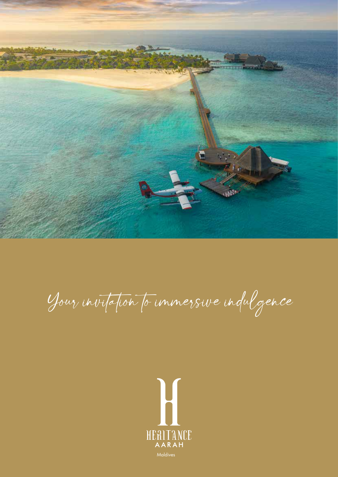

Your invitation to immersive indulgence

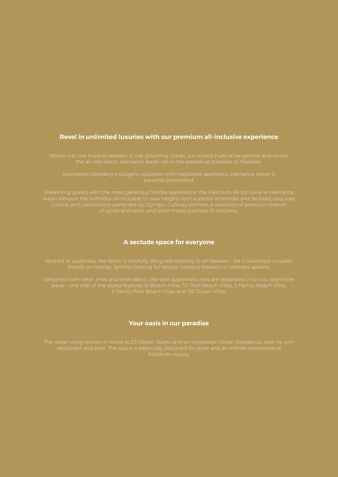# **Revel in unlimited luxuries with our premium all-inclusive experience**

Woven into the tropical tapestry of the gleaming cobalt, sun-kissed hues of tangerines and violets,

.<br>paradise personified.

Presenting guests with the most generous holiday experience, the Premium All Inclusive at Heritance

# **A seclude space for everyone**

Designed with clean lines and sleek décor, the well-appointed villas are separated in to two distinctive 2 Family Pool Beach Villas and 56 Ocean Villas.

# **Your oasis in our paradise**

The ocean wing section is home to 25 Ocean Suites and an impressive Ocean Residence, with its own Maldivian luxury.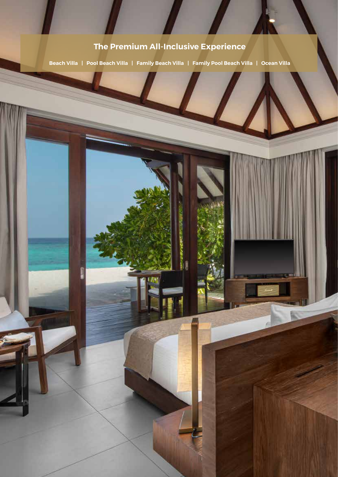# **The Premium All-Inclusive Experience**

**Beach Villa | Pool Beach Villa | Family Beach Villa | Family Pool Beach Villa | Ocean Villa**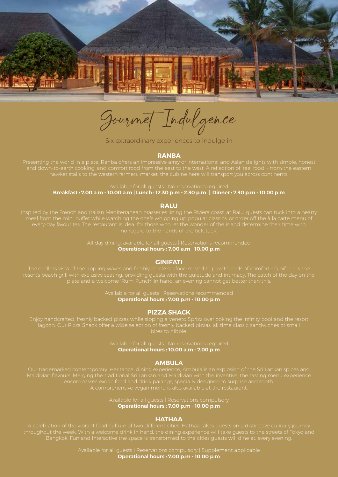

Gourmet Indulgence

Six extraordinary experiences to indulge in

#### **RANBA**

Presenting the world in a plate, Ranba offers an impressive array of international and Asian delights with simple, honest

Available for all guests | No reservations required **Breakfast : 7.00 a.m - 10.00 a.m | Lunch : 12.30 p.m - 2.30 p.m | Dinner : 7.30 p.m - 10.00 p.m**

# **RALU**

**Operational hours : 7.00 a.m - 10.00 p.m**

#### **GINIFATI**

**Operational hours : 7.00 p.m - 10.00 p.m**

# **PIZZA SHACK**

**Operational hours : 10.00 a.m - 7.00 p.m**

### **AMBULA**

Maldivian flavours. Merging the traditional Sri Lankan and Maldivian with the inventive, the tasting menu experience

Available for all guests | Reservations compulsory **Operational hours : 7.00 p.m - 10.00 p.m**

### **HATHAA**

Bangkok. Fun and interactive the space is transformed to the cities guests will dine at, every evening.

Available for all guests | Reservations compulsory | Supplement applicable **Operational hours : 7.00 p.m - 10.00 p.m**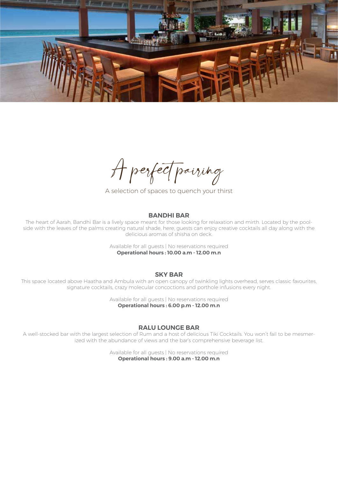

A perfect pairing

A selection of spaces to quench your thirst

# **BANDHI BAR**

The heart of Aarah, Bandhi Bar is a lively space meant for those looking for relaxation and mirth. Located by the poolside with the leaves of the palms creating natural shade, here, guests can enjoy creative cocktails all day along with the delicious aromas of shisha on deck.

> Available for all quests | No reservations required **Operational hours : 10.00 a.m - 12.00 m.n**

## **SKY BAR**

This space located above Haatha and Ambula with an open canopy of twinkling lights overhead, serves classic favourites, signature cocktails, crazy molecular concoctions and porthole infusions every night.

> Available for all guests | No reservations required **Operational hours : 6.00 p.m - 12.00 m.n**

## **RALU LOUNGE BAR**

A well-stocked bar with the largest selection of Rum and a host of delicious Tiki Cocktails. You won't fail to be mesmerized with the abundance of views and the bar's comprehensive beverage list.

> Available for all guests | No reservations required **Operational hours : 9.00 a.m - 12.00 m.n**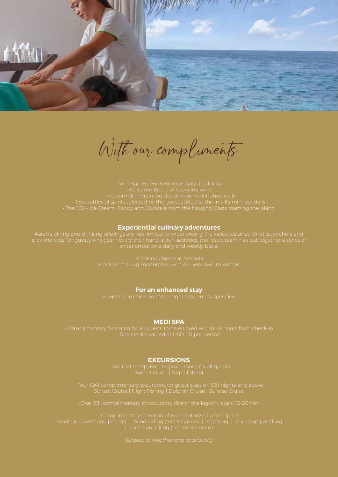

With our compliments

# **Experiential culinary adventures**

#### **For an enhanced stay**

### **MEDI SPA**

## **EXCURSIONS**

• Complimentary selection of non-motorized water sports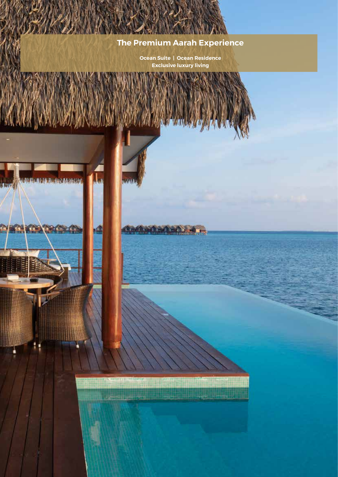# **The Premium Aarah Experience**

**Ocean Suite | Ocean Residence Exclusive luxury living** 

确

**Company Print** 

**Democrats Beating** 

Y.

**THE REAL PROPERTY**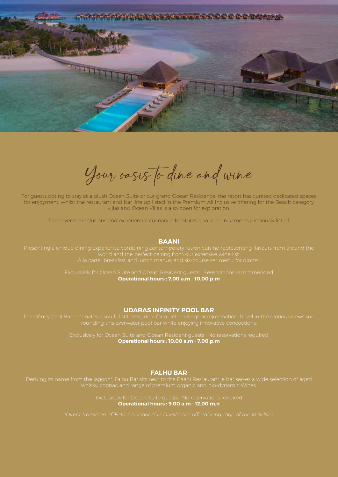

Your oasis to dine and wine

For guests opting to stay at a plush Ocean Suite or our grand Ocean Residence, the resort has curated dedicated spaces for enjoyment, whilst the restaurant and bar line up listed in the Premium All Inclusive offering for the Beach category villas and Ocean Villas is also open for exploration.

The beverage inclusions and experiential culinary adventures also remain same as previously listed.

## **BAANI**

Presenting a unique dining experience combining contemporary fusion cuisine representing flavours from around the

Exclusively for Ocean Suite and Ocean Resident guests | Reservations recommended **Operational hours : 7.00 a.m - 10.00 p.m** 

### **UDARAS INFINITY POOL BAR**

The Infinity Pool Bar emanates a soulful stillness, ideal for quiet musings or rejuvenation. Revel in the glorious views sur-

**Operational hours : 10.00 a.m - 7.00 p.m**

# **FALHU BAR**

**Operational hours : 9.00 a.m - 12.00 m.n**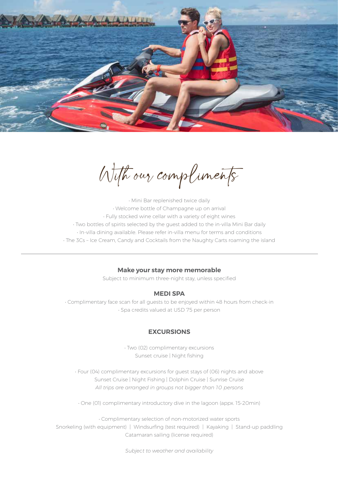

With our compliments

• Mini Bar replenished twice daily • Welcome bottle of Champagne up on arrival • Fully stocked wine cellar with a variety of eight wines • Two bottles of spirits selected by the guest added to the in-villa Mini Bar daily • In-villa dining available. Please refer in-villa menu for terms and conditions • The 3Cs – Ice Cream, Candy and Cocktails from the Naughty Carts roaming the island

# **Make your stay more memorable**

Subject to minimum three-night stay, unless specified

# **MEDI SPA**

• Complimentary face scan for all guests to be enjoyed within 48 hours from check-in • Spa credits valued at USD 75 per person

# **EXCURSIONS**

• Two (02) complimentary excursions Sunset cruise | Night fishing

• Four (04) complimentary excursions for guest stays of (06) nights and above Sunset Cruise | Night Fishing | Dolphin Cruise | Sunrise Cruise *All trips are arranged in groups not bigger than 10 persons*

• One (01) complimentary introductory dive in the lagoon (appx. 15-20min)

• Complimentary selection of non-motorized water sports Snorkeling (with equipment) | Windsurfing (test required) | Kayaking | Stand-up paddling Catamaran sailing (license required)

*Subject to weather and availability*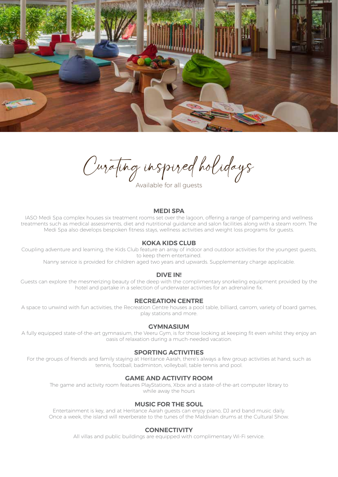

Curating inspired holidays

## **MEDI SPA**

IASO Medi Spa complex houses six treatment rooms set over the lagoon, offering a range of pampering and wellness treatments such as medical assessments, diet and nutritional guidance and salon facilities along with a steam room. The Medi Spa also develops bespoken fitness stays, wellness activities and weight loss programs for guests.

## **KOKA KIDS CLUB**

Coupling adventure and learning, the Kids Club feature an array of indoor and outdoor activities for the youngest guests, to keep them entertained.

Nanny service is provided for children aged two years and upwards. Supplementary charge applicable.

## **DIVE IN!**

Guests can explore the mesmerizing beauty of the deep with the complimentary snorkeling equipment provided by the hotel and partake in a selection of underwater activities for an adrenaline fix.

# **RECREATION CENTRE**

A space to unwind with fun activities, the Recreation Centre houses a pool table, billiard, carrom, variety of board games, play stations and more.

## **GYMNASIUM**

A fully equipped state-of-the-art gymnasium, the Veeru Gym, is for those looking at keeping fit even whilst they enjoy an oasis of relaxation during a much-needed vacation.

# **SPORTING ACTIVITIES**

For the groups of friends and family staying at Heritance Aarah, there's always a few group activities at hand, such as tennis, football, badminton, volleyball, table tennis and pool.

## **GAME AND ACTIVITY ROOM**

The game and activity room features PlayStations, Xbox and a state-of-the-art computer library to while away the hours

# **MUSIC FOR THE SOUL**

Entertainment is key, and at Heritance Aarah guests can enjoy piano, DJ and band music daily. Once a week, the island will reverberate to the tunes of the Maldivian drums at the Cultural Show.

## **CONNECTIVITY**

All villas and public buildings are equipped with complimentary Wi-Fi service.